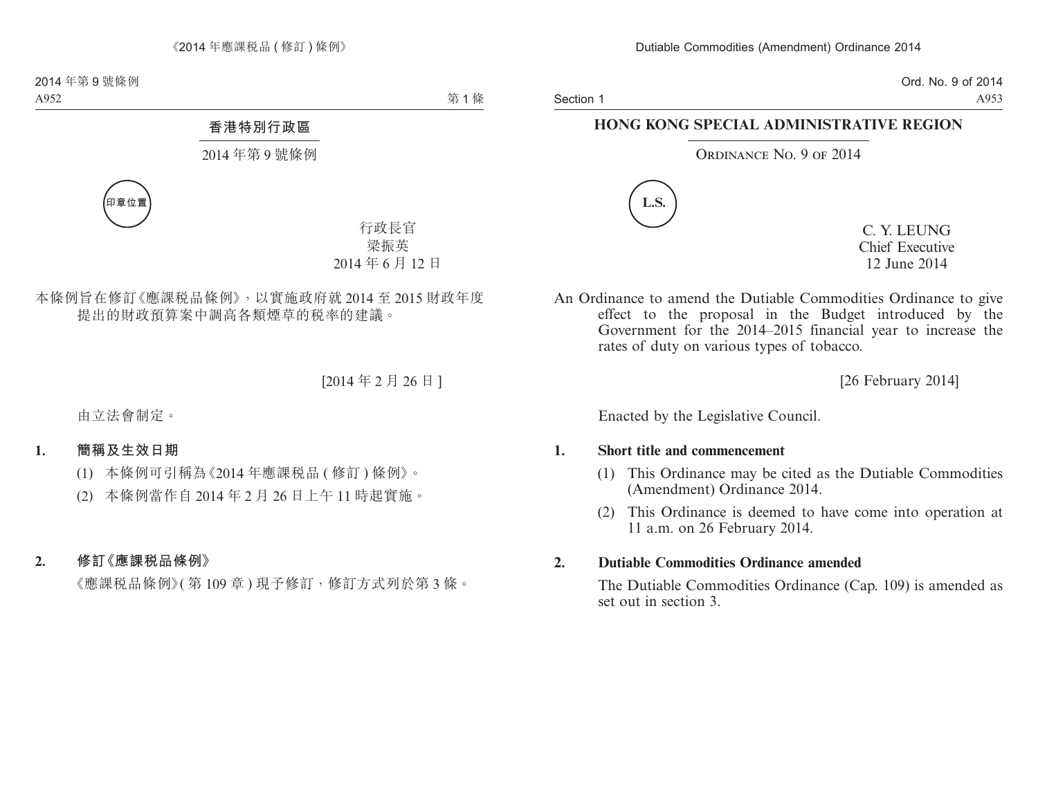Section 1

Ord. No. 9 of 2014 A953

## **HONG KONG SPECIAL ADMINISTRATIVE REGION**

## ORDINANCE NO. 9 OF 2014



C. Y. LEUNG Chief Executive 12 June 2014

An Ordinance to amend the Dutiable Commodities Ordinance to give effect to the proposal in the Budget introduced by the Government for the 2014–2015 financial year to increase the rates of duty on various types of tobacco.

[26 February 2014]

Enacted by the Legislative Council.

## **1. Short title and commencement**

- (1) This Ordinance may be cited as the Dutiable Commodities (Amendment) Ordinance 2014.
- (2) This Ordinance is deemed to have come into operation at 11 a.m. on 26 February 2014.

## **2. Dutiable Commodities Ordinance amended**

The Dutiable Commodities Ordinance (Cap. 109) is amended as set out in section 3.